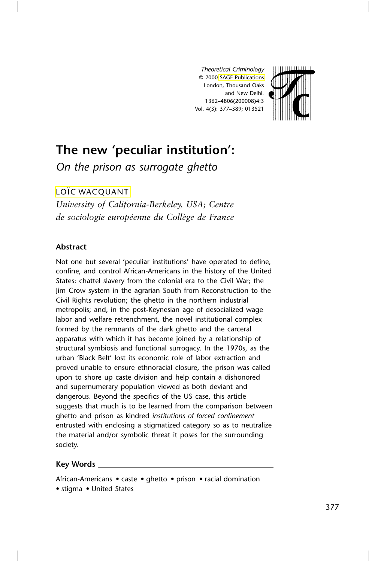*Theoretical Criminology* © 2000 [SAGE Publications](http://www.sagepub.co.uk/) London, Thousand Oaks and New Delhi. 1362–4806(200008)4:3 Vol. 4(3): 377–389; 013521



# **The new 'peculiar institution':**

*On the prison as surrogate ghetto*

LOÏC WACQUANT

*University of California-Berkeley, USA; Centre de sociologie europ´eenne du Coll`ege de France*

# **Abstract**

Not one but several 'peculiar institutions' have operated to define, confine, and control African-Americans in the history of the United States: chattel slavery from the colonial era to the Civil War; the Jim Crow system in the agrarian South from Reconstruction to the Civil Rights revolution; the ghetto in the northern industrial metropolis; and, in the post-Keynesian age of desocialized wage labor and welfare retrenchment, the novel institutional complex formed by the remnants of the dark ghetto and the carceral apparatus with which it has become joined by a relationship of structural symbiosis and functional surrogacy. In the 1970s, as the urban 'Black Belt' lost its economic role of labor extraction and proved unable to ensure ethnoracial closure, the prison was called upon to shore up caste division and help contain a dishonored and supernumerary population viewed as both deviant and dangerous. Beyond the specifics of the US case, this article suggests that much is to be learned from the comparison between ghetto and prison as kindred *institutions of forced confinement* entrusted with enclosing a stigmatized category so as to neutralize the material and/or symbolic threat it poses for the surrounding society.

# **Key Words**

African-Americans • caste • ghetto • prison • racial domination • stigma • United States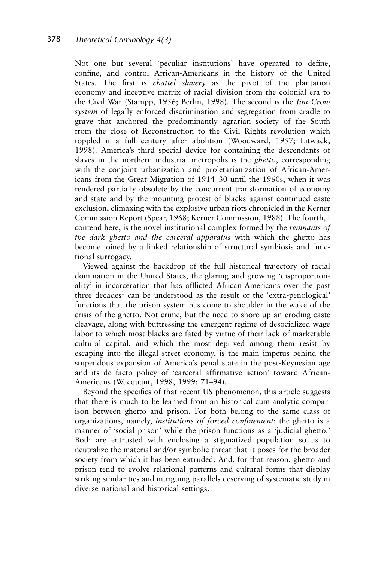Not one but several 'peculiar institutions' have operated to define, confine, and control African-Americans in the history of the United States. The first is *chattel slavery* as the pivot of the plantation economy and inceptive matrix of racial division from the colonial era to the Civil War (Stampp, 1956; Berlin, 1998). The second is the *Jim Crow system* of legally enforced discrimination and segregation from cradle to grave that anchored the predominantly agrarian society of the South from the close of Reconstruction to the Civil Rights revolution which toppled it a full century after abolition (Woodward, 1957; Litwack, 1998). America's third special device for containing the descendants of slaves in the northern industrial metropolis is the *ghetto*, corresponding with the conjoint urbanization and proletarianization of African-Americans from the Great Migration of 1914–30 until the 1960s, when it was rendered partially obsolete by the concurrent transformation of economy and state and by the mounting protest of blacks against continued caste exclusion, climaxing with the explosive urban riots chronicled in the Kerner Commission Report (Spear, 1968; Kerner Commission, 1988). The fourth, I contend here, is the novel institutional complex formed by the *remnants of the dark ghetto and the carceral apparatus* with which the ghetto has become joined by a linked relationship of structural symbiosis and functional surrogacy.

Viewed against the backdrop of the full historical trajectory of racial domination in the United States, the glaring and growing 'disproportionality' in incarceration that has afflicted African-Americans over the past three decades<sup>1</sup> can be understood as the result of the 'extra-penological' functions that the prison system has come to shoulder in the wake of the crisis of the ghetto. Not crime, but the need to shore up an eroding caste cleavage, along with buttressing the emergent regime of desocialized wage labor to which most blacks are fated by virtue of their lack of marketable cultural capital, and which the most deprived among them resist by escaping into the illegal street economy, is the main impetus behind the stupendous expansion of America's penal state in the post-Keynesian age and its de facto policy of 'carceral affirmative action' toward African-Americans (Wacquant, 1998, 1999: 71–94).

Beyond the specifics of that recent US phenomenon, this article suggests that there is much to be learned from an historical-cum-analytic comparison between ghetto and prison. For both belong to the same class of organizations, namely, *institutions of forced confinement*: the ghetto is a manner of 'social prison' while the prison functions as a 'judicial ghetto.' Both are entrusted with enclosing a stigmatized population so as to neutralize the material and/or symbolic threat that it poses for the broader society from which it has been extruded. And, for that reason, ghetto and prison tend to evolve relational patterns and cultural forms that display striking similarities and intriguing parallels deserving of systematic study in diverse national and historical settings.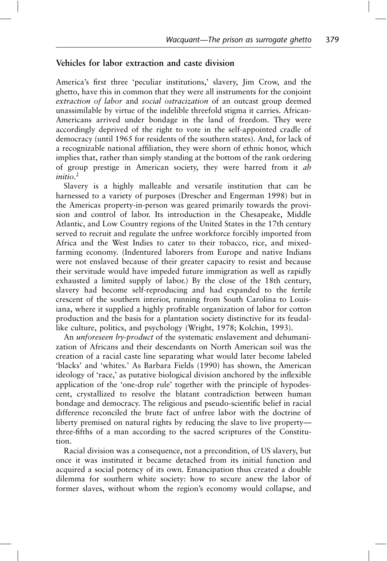### **Vehicles for labor extraction and caste division**

America's first three 'peculiar institutions,' slavery, Jim Crow, and the ghetto, have this in common that they were all instruments for the conjoint *extraction of labor* and *social ostracization* of an outcast group deemed unassimilable by virtue of the indelible threefold stigma it carries. African-Americans arrived under bondage in the land of freedom. They were accordingly deprived of the right to vote in the self-appointed cradle of democracy (until 1965 for residents of the southern states). And, for lack of a recognizable national affiliation, they were shorn of ethnic honor, which implies that, rather than simply standing at the bottom of the rank ordering of group prestige in American society, they were barred from it *ab initio*. 2

Slavery is a highly malleable and versatile institution that can be harnessed to a variety of purposes (Drescher and Engerman 1998) but in the Americas property-in-person was geared primarily towards the provision and control of labor. Its introduction in the Chesapeake, Middle Atlantic, and Low Country regions of the United States in the 17th century served to recruit and regulate the unfree workforce forcibly imported from Africa and the West Indies to cater to their tobacco, rice, and mixedfarming economy. (Indentured laborers from Europe and native Indians were not enslaved because of their greater capacity to resist and because their servitude would have impeded future immigration as well as rapidly exhausted a limited supply of labor.) By the close of the 18th century, slavery had become self-reproducing and had expanded to the fertile crescent of the southern interior, running from South Carolina to Louisiana, where it supplied a highly profitable organization of labor for cotton production and the basis for a plantation society distinctive for its feudallike culture, politics, and psychology (Wright, 1978; Kolchin, 1993).

An *unforeseen by-product* of the systematic enslavement and dehumanization of Africans and their descendants on North American soil was the creation of a racial caste line separating what would later become labeled 'blacks' and 'whites.' As Barbara Fields (1990) has shown, the American ideology of 'race,' as putative biological division anchored by the inflexible application of the 'one-drop rule' together with the principle of hypodescent, crystallized to resolve the blatant contradiction between human bondage and democracy. The religious and pseudo-scientific belief in racial difference reconciled the brute fact of unfree labor with the doctrine of liberty premised on natural rights by reducing the slave to live property three-fifths of a man according to the sacred scriptures of the Constitution.

Racial division was a consequence, not a precondition, of US slavery, but once it was instituted it became detached from its initial function and acquired a social potency of its own. Emancipation thus created a double dilemma for southern white society: how to secure anew the labor of former slaves, without whom the region's economy would collapse, and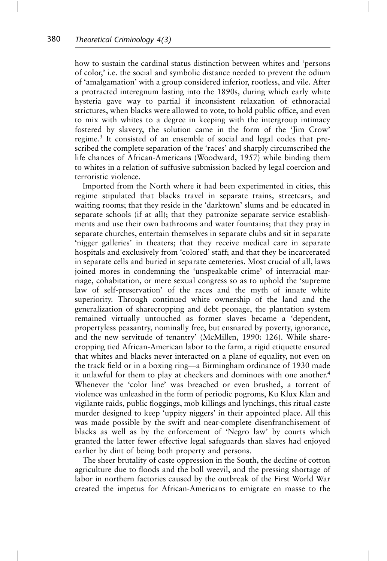how to sustain the cardinal status distinction between whites and 'persons of color,' i.e. the social and symbolic distance needed to prevent the odium of 'amalgamation' with a group considered inferior, rootless, and vile. After a protracted interegnum lasting into the 1890s, during which early white hysteria gave way to partial if inconsistent relaxation of ethnoracial strictures, when blacks were allowed to vote, to hold public office, and even to mix with whites to a degree in keeping with the intergroup intimacy fostered by slavery, the solution came in the form of the 'Jim Crow' regime.<sup>3</sup> It consisted of an ensemble of social and legal codes that prescribed the complete separation of the 'races' and sharply circumscribed the life chances of African-Americans (Woodward, 1957) while binding them to whites in a relation of suffusive submission backed by legal coercion and terroristic violence.

Imported from the North where it had been experimented in cities, this regime stipulated that blacks travel in separate trains, streetcars, and waiting rooms; that they reside in the 'darktown' slums and be educated in separate schools (if at all); that they patronize separate service establishments and use their own bathrooms and water fountains; that they pray in separate churches, entertain themselves in separate clubs and sit in separate 'nigger galleries' in theaters; that they receive medical care in separate hospitals and exclusively from 'colored' staff; and that they be incarcerated in separate cells and buried in separate cemeteries. Most crucial of all, laws joined mores in condemning the 'unspeakable crime' of interracial marriage, cohabitation, or mere sexual congress so as to uphold the 'supreme law of self-preservation' of the races and the myth of innate white superiority. Through continued white ownership of the land and the generalization of sharecropping and debt peonage, the plantation system remained virtually untouched as former slaves became a 'dependent, propertyless peasantry, nominally free, but ensnared by poverty, ignorance, and the new servitude of tenantry' (McMillen, 1990: 126). While sharecropping tied African-American labor to the farm, a rigid etiquette ensured that whites and blacks never interacted on a plane of equality, not even on the track field or in a boxing ring—a Birmingham ordinance of 1930 made it unlawful for them to play at checkers and dominoes with one another.<sup>4</sup> Whenever the 'color line' was breached or even brushed, a torrent of violence was unleashed in the form of periodic pogroms, Ku Klux Klan and vigilante raids, public floggings, mob killings and lynchings, this ritual caste murder designed to keep 'uppity niggers' in their appointed place. All this was made possible by the swift and near-complete disenfranchisement of blacks as well as by the enforcement of 'Negro law' by courts which granted the latter fewer effective legal safeguards than slaves had enjoyed earlier by dint of being both property and persons.

The sheer brutality of caste oppression in the South, the decline of cotton agriculture due to floods and the boll weevil, and the pressing shortage of labor in northern factories caused by the outbreak of the First World War created the impetus for African-Americans to emigrate en masse to the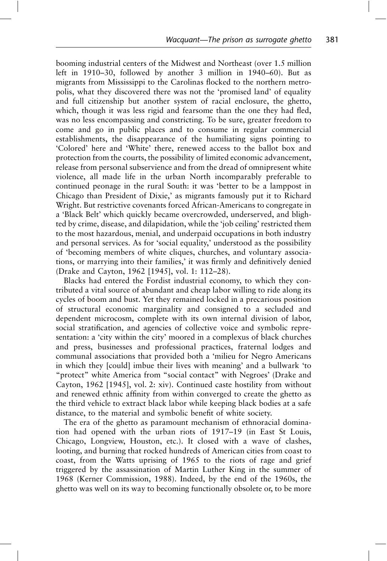booming industrial centers of the Midwest and Northeast (over 1.5 million left in 1910–30, followed by another 3 million in 1940–60). But as migrants from Mississippi to the Carolinas flocked to the northern metropolis, what they discovered there was not the 'promised land' of equality and full citizenship but another system of racial enclosure, the ghetto, which, though it was less rigid and fearsome than the one they had fled, was no less encompassing and constricting. To be sure, greater freedom to come and go in public places and to consume in regular commercial establishments, the disappearance of the humiliating signs pointing to 'Colored' here and 'White' there, renewed access to the ballot box and protection from the courts, the possibility of limited economic advancement, release from personal subservience and from the dread of omnipresent white violence, all made life in the urban North incomparably preferable to continued peonage in the rural South: it was 'better to be a lamppost in Chicago than President of Dixie,' as migrants famously put it to Richard Wright. But restrictive covenants forced African-Americans to congregate in a 'Black Belt' which quickly became overcrowded, underserved, and blighted by crime, disease, and dilapidation, while the 'job ceiling' restricted them to the most hazardous, menial, and underpaid occupations in both industry and personal services. As for 'social equality,' understood as the possibility of 'becoming members of white cliques, churches, and voluntary associations, or marrying into their families,' it was firmly and definitively denied (Drake and Cayton, 1962 [1945], vol. 1: 112–28).

Blacks had entered the Fordist industrial economy, to which they contributed a vital source of abundant and cheap labor willing to ride along its cycles of boom and bust. Yet they remained locked in a precarious position of structural economic marginality and consigned to a secluded and dependent microcosm, complete with its own internal division of labor, social stratification, and agencies of collective voice and symbolic representation: a 'city within the city' moored in a complexus of black churches and press, businesses and professional practices, fraternal lodges and communal associations that provided both a 'milieu for Negro Americans in which they [could] imbue their lives with meaning' and a bullwark 'to "protect" white America from "social contact" with Negroes' (Drake and Cayton, 1962 [1945], vol. 2: xiv). Continued caste hostility from without and renewed ethnic affinity from within converged to create the ghetto as the third vehicle to extract black labor while keeping black bodies at a safe distance, to the material and symbolic benefit of white society.

The era of the ghetto as paramount mechanism of ethnoracial domination had opened with the urban riots of 1917–19 (in East St Louis, Chicago, Longview, Houston, etc.). It closed with a wave of clashes, looting, and burning that rocked hundreds of American cities from coast to coast, from the Watts uprising of 1965 to the riots of rage and grief triggered by the assassination of Martin Luther King in the summer of 1968 (Kerner Commission, 1988). Indeed, by the end of the 1960s, the ghetto was well on its way to becoming functionally obsolete or, to be more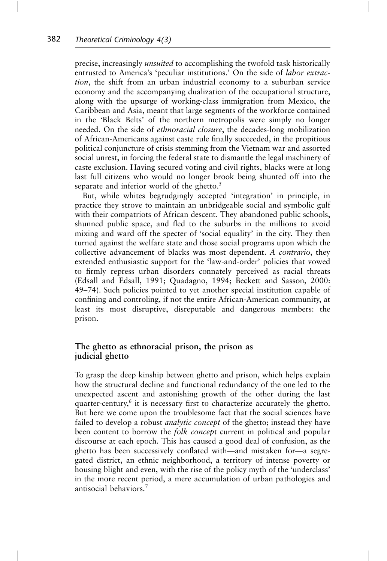precise, increasingly *unsuited* to accomplishing the twofold task historically entrusted to America's 'peculiar institutions.' On the side of *labor extraction*, the shift from an urban industrial economy to a suburban service economy and the accompanying dualization of the occupational structure, along with the upsurge of working-class immigration from Mexico, the Caribbean and Asia, meant that large segments of the workforce contained in the 'Black Belts' of the northern metropolis were simply no longer needed. On the side of *ethnoracial closure*, the decades-long mobilization of African-Americans against caste rule finally succeeded, in the propitious political conjuncture of crisis stemming from the Vietnam war and assorted social unrest, in forcing the federal state to dismantle the legal machinery of caste exclusion. Having secured voting and civil rights, blacks were at long last full citizens who would no longer brook being shunted off into the separate and inferior world of the ghetto.<sup>5</sup>

But, while whites begrudgingly accepted 'integration' in principle, in practice they strove to maintain an unbridgeable social and symbolic gulf with their compatriots of African descent. They abandoned public schools, shunned public space, and fled to the suburbs in the millions to avoid mixing and ward off the specter of 'social equality' in the city. They then turned against the welfare state and those social programs upon which the collective advancement of blacks was most dependent. *A contrario*, they extended enthusiastic support for the 'law-and-order' policies that vowed to firmly repress urban disorders connately perceived as racial threats (Edsall and Edsall, 1991; Quadagno, 1994; Beckett and Sasson, 2000: 49–74). Such policies pointed to yet another special institution capable of confining and controling, if not the entire African-American community, at least its most disruptive, disreputable and dangerous members: the prison.

## **The ghetto as ethnoracial prison, the prison as judicial ghetto**

To grasp the deep kinship between ghetto and prison, which helps explain how the structural decline and functional redundancy of the one led to the unexpected ascent and astonishing growth of the other during the last quarter-century, $6$  it is necessary first to characterize accurately the ghetto. But here we come upon the troublesome fact that the social sciences have failed to develop a robust *analytic concept* of the ghetto; instead they have been content to borrow the *folk concep*t current in political and popular discourse at each epoch. This has caused a good deal of confusion, as the ghetto has been successively conflated with—and mistaken for—a segregated district, an ethnic neighborhood, a territory of intense poverty or housing blight and even, with the rise of the policy myth of the 'underclass' in the more recent period, a mere accumulation of urban pathologies and antisocial behaviors.7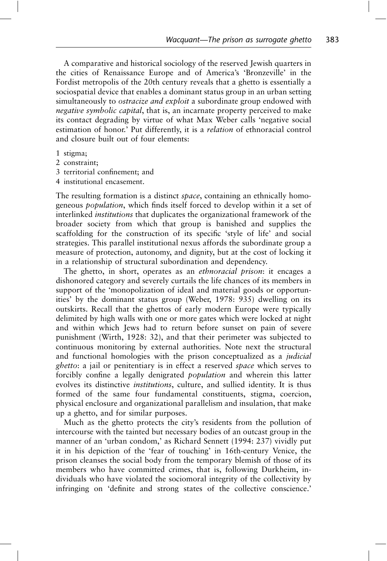A comparative and historical sociology of the reserved Jewish quarters in the cities of Renaissance Europe and of America's 'Bronzeville' in the Fordist metropolis of the 20th century reveals that a ghetto is essentially a sociospatial device that enables a dominant status group in an urban setting simultaneously to *ostracize and exploit* a subordinate group endowed with *negative symbolic capital*, that is, an incarnate property perceived to make its contact degrading by virtue of what Max Weber calls 'negative social estimation of honor.' Put differently, it is a *relation* of ethnoracial control and closure built out of four elements:

- 1 stigma;
- 2 constraint;
- 3 territorial confinement; and

4 institutional encasement.

The resulting formation is a distinct *space*, containing an ethnically homogeneous *population*, which finds itself forced to develop within it a set of interlinked *institutions* that duplicates the organizational framework of the broader society from which that group is banished and supplies the scaffolding for the construction of its specific 'style of life' and social strategies. This parallel institutional nexus affords the subordinate group a measure of protection, autonomy, and dignity, but at the cost of locking it in a relationship of structural subordination and dependency.

The ghetto, in short, operates as an *ethnoracial prison*: it encages a dishonored category and severely curtails the life chances of its members in support of the 'monopolization of ideal and material goods or opportunities' by the dominant status group (Weber, 1978: 935) dwelling on its outskirts. Recall that the ghettos of early modern Europe were typically delimited by high walls with one or more gates which were locked at night and within which Jews had to return before sunset on pain of severe punishment (Wirth, 1928: 32), and that their perimeter was subjected to continuous monitoring by external authorities. Note next the structural and functional homologies with the prison conceptualized as a *judicial ghetto*: a jail or penitentiary is in effect a reserved *space* which serves to forcibly confine a legally denigrated *population* and wherein this latter evolves its distinctive *institutions*, culture, and sullied identity. It is thus formed of the same four fundamental constituents, stigma, coercion, physical enclosure and organizational parallelism and insulation, that make up a ghetto, and for similar purposes.

Much as the ghetto protects the city's residents from the pollution of intercourse with the tainted but necessary bodies of an outcast group in the manner of an 'urban condom,' as Richard Sennett (1994: 237) vividly put it in his depiction of the 'fear of touching' in 16th-century Venice, the prison cleanses the social body from the temporary blemish of those of its members who have committed crimes, that is, following Durkheim, individuals who have violated the sociomoral integrity of the collectivity by infringing on 'definite and strong states of the collective conscience.'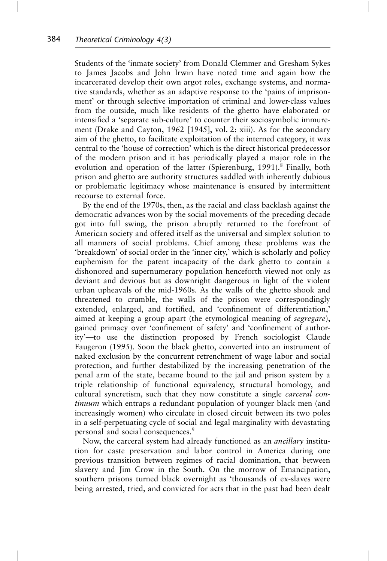Students of the 'inmate society' from Donald Clemmer and Gresham Sykes to James Jacobs and John Irwin have noted time and again how the incarcerated develop their own argot roles, exchange systems, and normative standards, whether as an adaptive response to the 'pains of imprisonment' or through selective importation of criminal and lower-class values from the outside, much like residents of the ghetto have elaborated or intensified a 'separate sub-culture' to counter their sociosymbolic immurement (Drake and Cayton, 1962 [1945], vol. 2: xiii). As for the secondary aim of the ghetto, to facilitate exploitation of the interned category, it was central to the 'house of correction' which is the direct historical predecessor of the modern prison and it has periodically played a major role in the evolution and operation of the latter (Spierenburg, 1991).<sup>8</sup> Finally, both prison and ghetto are authority structures saddled with inherently dubious or problematic legitimacy whose maintenance is ensured by intermittent recourse to external force.

By the end of the 1970s, then, as the racial and class backlash against the democratic advances won by the social movements of the preceding decade got into full swing, the prison abruptly returned to the forefront of American society and offered itself as the universal and simplex solution to all manners of social problems. Chief among these problems was the 'breakdown' of social order in the 'inner city,' which is scholarly and policy euphemism for the patent incapacity of the dark ghetto to contain a dishonored and supernumerary population henceforth viewed not only as deviant and devious but as downright dangerous in light of the violent urban upheavals of the mid-1960s. As the walls of the ghetto shook and threatened to crumble, the walls of the prison were correspondingly extended, enlarged, and fortified, and 'confinement of differentiation,' aimed at keeping a group apart (the etymological meaning of *segregare*), gained primacy over 'confinement of safety' and 'confinement of authority'—to use the distinction proposed by French sociologist Claude Faugeron (1995). Soon the black ghetto, converted into an instrument of naked exclusion by the concurrent retrenchment of wage labor and social protection, and further destabilized by the increasing penetration of the penal arm of the state, became bound to the jail and prison system by a triple relationship of functional equivalency, structural homology, and cultural syncretism, such that they now constitute a single *carceral continuum* which entraps a redundant population of younger black men (and increasingly women) who circulate in closed circuit between its two poles in a self-perpetuating cycle of social and legal marginality with devastating personal and social consequences.9

Now, the carceral system had already functioned as an *ancillary* institution for caste preservation and labor control in America during one previous transition between regimes of racial domination, that between slavery and Jim Crow in the South. On the morrow of Emancipation, southern prisons turned black overnight as 'thousands of ex-slaves were being arrested, tried, and convicted for acts that in the past had been dealt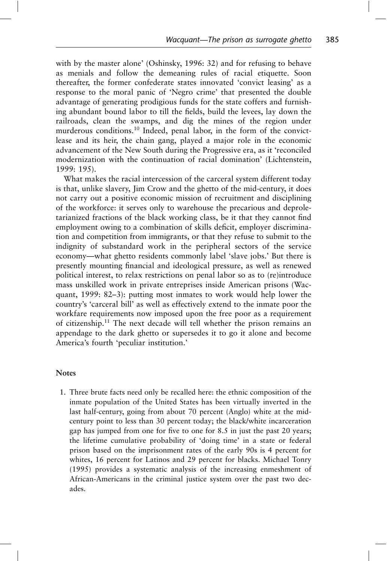with by the master alone' (Oshinsky, 1996: 32) and for refusing to behave as menials and follow the demeaning rules of racial etiquette. Soon thereafter, the former confederate states innovated 'convict leasing' as a response to the moral panic of 'Negro crime' that presented the double advantage of generating prodigious funds for the state coffers and furnishing abundant bound labor to till the fields, build the levees, lay down the railroads, clean the swamps, and dig the mines of the region under murderous conditions.<sup>10</sup> Indeed, penal labor, in the form of the convictlease and its heir, the chain gang, played a major role in the economic advancement of the New South during the Progressive era, as it 'reconciled modernization with the continuation of racial domination' (Lichtenstein, 1999: 195).

What makes the racial intercession of the carceral system different today is that, unlike slavery, Jim Crow and the ghetto of the mid-century, it does not carry out a positive economic mission of recruitment and disciplining of the workforce: it serves only to warehouse the precarious and deproletarianized fractions of the black working class, be it that they cannot find employment owing to a combination of skills deficit, employer discrimination and competition from immigrants, or that they refuse to submit to the indignity of substandard work in the peripheral sectors of the service economy—what ghetto residents commonly label 'slave jobs.' But there is presently mounting financial and ideological pressure, as well as renewed political interest, to relax restrictions on penal labor so as to (re)introduce mass unskilled work in private entreprises inside American prisons (Wacquant, 1999: 82–3): putting most inmates to work would help lower the country's 'carceral bill' as well as effectively extend to the inmate poor the workfare requirements now imposed upon the free poor as a requirement of citizenship.11 The next decade will tell whether the prison remains an appendage to the dark ghetto or supersedes it to go it alone and become America's fourth 'peculiar institution.'

#### **Notes**

1. Three brute facts need only be recalled here: the ethnic composition of the inmate population of the United States has been virtually inverted in the last half-century, going from about 70 percent (Anglo) white at the midcentury point to less than 30 percent today; the black/white incarceration gap has jumped from one for five to one for 8.5 in just the past 20 years; the lifetime cumulative probability of 'doing time' in a state or federal prison based on the imprisonment rates of the early 90s is 4 percent for whites, 16 percent for Latinos and 29 percent for blacks. Michael Tonry (1995) provides a systematic analysis of the increasing enmeshment of African-Americans in the criminal justice system over the past two decades.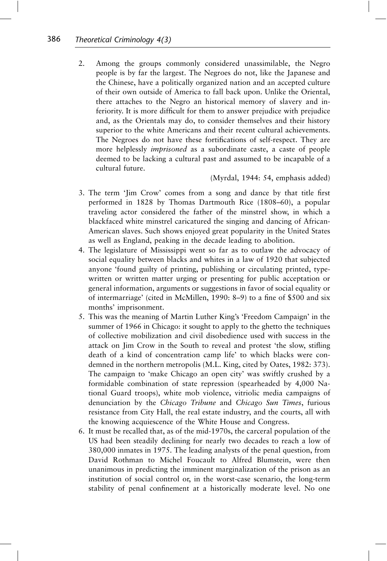2. Among the groups commonly considered unassimilable, the Negro people is by far the largest. The Negroes do not, like the Japanese and the Chinese, have a politically organized nation and an accepted culture of their own outside of America to fall back upon. Unlike the Oriental, there attaches to the Negro an historical memory of slavery and inferiority. It is more difficult for them to answer prejudice with prejudice and, as the Orientals may do, to consider themselves and their history superior to the white Americans and their recent cultural achievements. The Negroes do not have these fortifications of self-respect. They are more helplessly *imprisoned* as a subordinate caste, a caste of people deemed to be lacking a cultural past and assumed to be incapable of a cultural future.

(Myrdal, 1944: 54, emphasis added)

- 3. The term 'Jim Crow' comes from a song and dance by that title first performed in 1828 by Thomas Dartmouth Rice (1808–60), a popular traveling actor considered the father of the minstrel show, in which a blackfaced white minstrel caricatured the singing and dancing of African-American slaves. Such shows enjoyed great popularity in the United States as well as England, peaking in the decade leading to abolition.
- 4. The legislature of Mississippi went so far as to outlaw the advocacy of social equality between blacks and whites in a law of 1920 that subjected anyone 'found guilty of printing, publishing or circulating printed, typewritten or written matter urging or presenting for public acceptation or general information, arguments or suggestions in favor of social equality or of intermarriage' (cited in McMillen, 1990: 8–9) to a fine of \$500 and six months' imprisonment.
- 5. This was the meaning of Martin Luther King's 'Freedom Campaign' in the summer of 1966 in Chicago: it sought to apply to the ghetto the techniques of collective mobilization and civil disobedience used with success in the attack on Jim Crow in the South to reveal and protest 'the slow, stifling death of a kind of concentration camp life' to which blacks were condemned in the northern metropolis (M.L. King, cited by Oates, 1982: 373). The campaign to 'make Chicago an open city' was swiftly crushed by a formidable combination of state repression (spearheaded by 4,000 National Guard troops), white mob violence, vitriolic media campaigns of denunciation by the *Chicago Tribune* and *Chicago Sun Times*, furious resistance from City Hall, the real estate industry, and the courts, all with the knowing acquiescence of the White House and Congress.
- 6. It must be recalled that, as of the mid-1970s, the carceral population of the US had been steadily declining for nearly two decades to reach a low of 380,000 inmates in 1975. The leading analysts of the penal question, from David Rothman to Michel Foucault to Alfred Blumstein, were then unanimous in predicting the imminent marginalization of the prison as an institution of social control or, in the worst-case scenario, the long-term stability of penal confinement at a historically moderate level. No one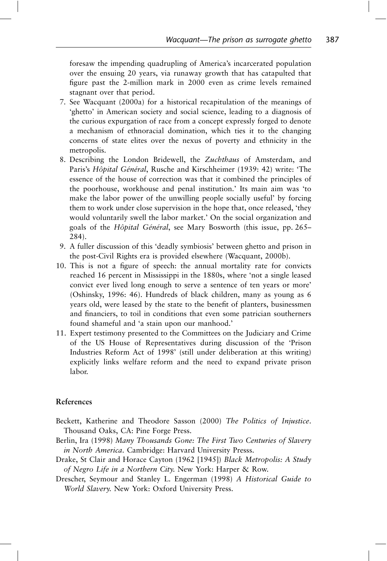foresaw the impending quadrupling of America's incarcerated population over the ensuing 20 years, via runaway growth that has catapulted that figure past the 2-million mark in 2000 even as crime levels remained stagnant over that period.

- 7. See Wacquant (2000a) for a historical recapitulation of the meanings of 'ghetto' in American society and social science, leading to a diagnosis of the curious expurgation of race from a concept expressly forged to denote a mechanism of ethnoracial domination, which ties it to the changing concerns of state elites over the nexus of poverty and ethnicity in the metropolis.
- 8. Describing the London Bridewell, the *Zuchthaus* of Amsterdam, and Paris's *Hôpital Général*, Rusche and Kirschheimer (1939: 42) write: 'The essence of the house of correction was that it combined the principles of the poorhouse, workhouse and penal institution.' Its main aim was 'to make the labor power of the unwilling people socially useful' by forcing them to work under close supervision in the hope that, once released, 'they would voluntarily swell the labor market.' On the social organization and goals of the *Hôpital Général*, see Mary Bosworth (this issue, pp. 265– 284).
- 9. A fuller discussion of this 'deadly symbiosis' between ghetto and prison in the post-Civil Rights era is provided elsewhere (Wacquant, 2000b).
- 10. This is not a figure of speech: the annual mortality rate for convicts reached 16 percent in Mississippi in the 1880s, where 'not a single leased convict ever lived long enough to serve a sentence of ten years or more' (Oshinsky, 1996: 46). Hundreds of black children, many as young as 6 years old, were leased by the state to the benefit of planters, businessmen and financiers, to toil in conditions that even some patrician southerners found shameful and 'a stain upon our manhood.'
- 11. Expert testimony presented to the Committees on the Judiciary and Crime of the US House of Representatives during discussion of the 'Prison Industries Reform Act of 1998' (still under deliberation at this writing) explicitly links welfare reform and the need to expand private prison labor.

#### **References**

- Beckett, Katherine and Theodore Sasson (2000) *The Politics of Injustice*. Thousand Oaks, CA: Pine Forge Press.
- Berlin, Ira (1998) *Many Thousands Gone: The First Two Centuries of Slavery in North America*. Cambridge: Harvard University Presss.
- Drake, St Clair and Horace Cayton (1962 [1945]) *Black Metropolis: A Study of Negro Life in a Northern City*. New York: Harper & Row.
- Drescher, Seymour and Stanley L. Engerman (1998) *A Historical Guide to World Slavery*. New York: Oxford University Press.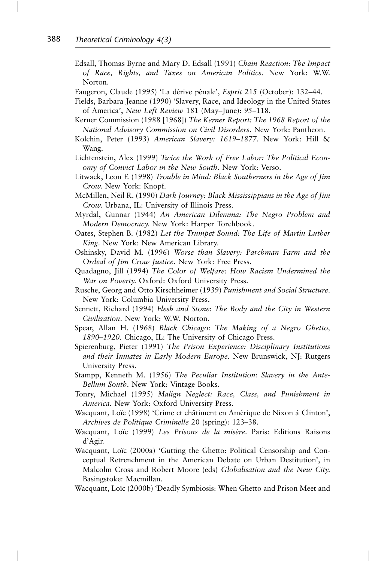- Edsall, Thomas Byrne and Mary D. Edsall (1991) *Chain Reaction: The Impact of Race, Rights, and Taxes on American Politics*. New York: W.W. Norton.
- Faugeron, Claude (1995) 'La dérive pénale', *Esprit* 215 (October): 132-44.
- Fields, Barbara Jeanne (1990) 'Slavery, Race, and Ideology in the United States of America', *New Left Review* 181 (May–June): 95–118.
- Kerner Commission (1988 [1968]) *The Kerner Report: The 1968 Report of the National Advisory Commission on Civil Disorders*. New York: Pantheon.
- Kolchin, Peter (1993) *American Slavery: 1619–1877*. New York: Hill & Wang.
- Lichtenstein, Alex (1999) *Twice the Work of Free Labor: The Political Economy of Convict Labor in the New South*. New York: Verso.
- Litwack, Leon F. (1998) *Trouble in Mind: Black Southerners in the Age of Jim Crow*. New York: Knopf.
- McMillen, Neil R. (1990) *Dark Journey: Black Mississippians in the Age of Jim Crow*. Urbana, IL: University of Illinois Press.
- Myrdal, Gunnar (1944) *An American Dilemma: The Negro Problem and Modern Democracy*. New York: Harper Torchbook.
- Oates, Stephen B. (1982) *Let the Trumpet Sound: The Life of Martin Luther King*. New York: New American Library.
- Oshinsky, David M. (1996) *Worse than Slavery: Parchman Farm and the Ordeal of Jim Crow Justice*. New York: Free Press.
- Quadagno, Jill (1994) *The Color of Welfare: How Racism Undermined the War on Poverty*. Oxford: Oxford University Press.
- Rusche, Georg and Otto Kirschheimer (1939) *Punishment and Social Structure*. New York: Columbia University Press.
- Sennett, Richard (1994) *Flesh and Stone: The Body and the City in Western Civilization*. New York: W.W. Norton.
- Spear, Allan H. (1968) *Black Chicago: The Making of a Negro Ghetto, 1890–1920*. Chicago, IL: The University of Chicago Press.
- Spierenburg, Pieter (1991) *The Prison Experience: Disciplinary Institutions and their Inmates in Early Modern Europe*. New Brunswick, NJ: Rutgers University Press.
- Stampp, Kenneth M. (1956) *The Peculiar Institution: Slavery in the Ante-Bellum South*. New York: Vintage Books.
- Tonry, Michael (1995) *Malign Neglect: Race, Class, and Punishment in America*. New York: Oxford University Press.
- Wacquant, Loïc (1998) 'Crime et châtiment en Amérique de Nixon à Clinton', *Archives de Politique Criminelle* 20 (spring): 123–38.
- Wacquant, Loïc (1999) *Les Prisons de la misère*. Paris: Editions Raisons d'Agir.
- Wacquant, Loïc (2000a) 'Gutting the Ghetto: Political Censorship and Conceptual Retrenchment in the American Debate on Urban Destitution', in Malcolm Cross and Robert Moore (eds) *Globalisation and the New City*. Basingstoke: Macmillan.
- Wacquant, Loïc (2000b) 'Deadly Symbiosis: When Ghetto and Prison Meet and